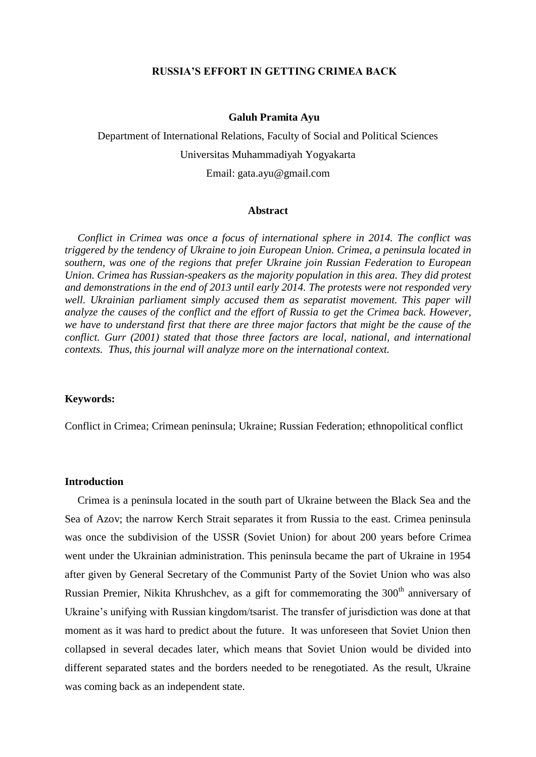# **RUSSIA'S EFFORT IN GETTING CRIMEA BACK**

#### **Galuh Pramita Ayu**

Department of International Relations, Faculty of Social and Political Sciences Universitas Muhammadiyah Yogyakarta [Email: gata.ayu@gmail.com](mailto:Email:%20gata.ayu@gmail.com)

#### **Abstract**

*Conflict in Crimea was once a focus of international sphere in 2014. The conflict was triggered by the tendency of Ukraine to join European Union. Crimea, a peninsula located in southern, was one of the regions that prefer Ukraine join Russian Federation to European Union. Crimea has Russian-speakers as the majority population in this area. They did protest and demonstrations in the end of 2013 until early 2014. The protests were not responded very*  well. Ukrainian parliament simply accused them as separatist movement. This paper will *analyze the causes of the conflict and the effort of Russia to get the Crimea back. However, we have to understand first that there are three major factors that might be the cause of the conflict. Gurr (2001) stated that those three factors are local, national, and international contexts. Thus, this journal will analyze more on the international context.* 

# **Keywords:**

Conflict in Crimea; Crimean peninsula; Ukraine; Russian Federation; ethnopolitical conflict

#### **Introduction**

Crimea is a peninsula located in the south part of Ukraine between the Black Sea and the Sea of Azov; the narrow Kerch Strait separates it from Russia to the east. Crimea peninsula was once the subdivision of the USSR (Soviet Union) for about 200 years before Crimea went under the Ukrainian administration. This peninsula became the part of Ukraine in 1954 after given by General Secretary of the Communist Party of the Soviet Union who was also Russian Premier, Nikita Khrushchev, as a gift for commemorating the 300<sup>th</sup> anniversary of Ukraine's unifying with Russian kingdom/tsarist. The transfer of jurisdiction was done at that moment as it was hard to predict about the future. It was unforeseen that Soviet Union then collapsed in several decades later, which means that Soviet Union would be divided into different separated states and the borders needed to be renegotiated. As the result, Ukraine was coming back as an independent state.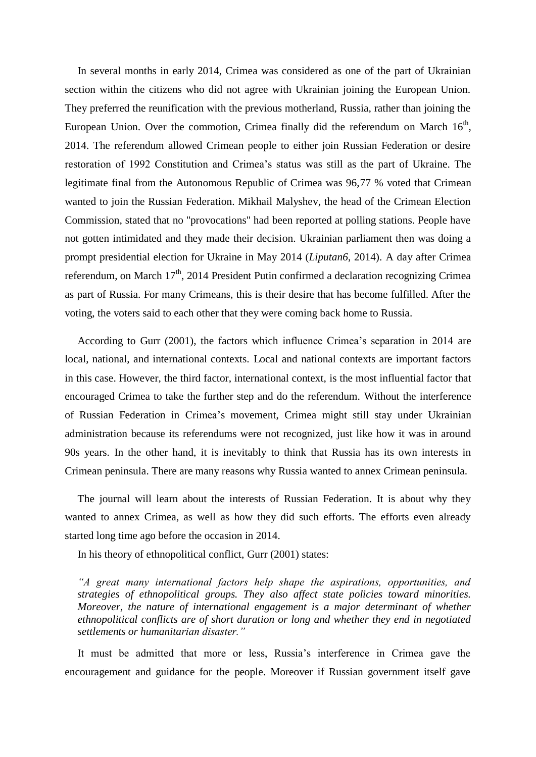In several months in early 2014, Crimea was considered as one of the part of Ukrainian section within the citizens who did not agree with Ukrainian joining the European Union. They preferred the reunification with the previous motherland, Russia, rather than joining the European Union. Over the commotion, Crimea finally did the referendum on March  $16<sup>th</sup>$ , 2014. The referendum allowed Crimean people to either join Russian Federation or desire restoration of 1992 Constitution and Crimea's status was still as the part of Ukraine. The legitimate final from the Autonomous Republic of Crimea was 96,77 % voted that Crimean wanted to join the Russian Federation. Mikhail Malyshev, the head of the Crimean Election Commission, stated that no "provocations" had been reported at polling stations. People have not gotten intimidated and they made their decision. Ukrainian parliament then was doing a prompt presidential election for Ukraine in May 2014 (*Liputan6*, 2014). A day after Crimea referendum, on March 17<sup>th</sup>, 2014 President Putin confirmed a declaration recognizing Crimea as part of Russia. For many Crimeans, this is their desire that has become fulfilled. After the voting, the voters said to each other that they were coming back home to Russia.

According to Gurr (2001), the factors which influence Crimea's separation in 2014 are local, national, and international contexts. Local and national contexts are important factors in this case. However, the third factor, international context, is the most influential factor that encouraged Crimea to take the further step and do the referendum. Without the interference of Russian Federation in Crimea's movement, Crimea might still stay under Ukrainian administration because its referendums were not recognized, just like how it was in around 90s years. In the other hand, it is inevitably to think that Russia has its own interests in Crimean peninsula. There are many reasons why Russia wanted to annex Crimean peninsula.

The journal will learn about the interests of Russian Federation. It is about why they wanted to annex Crimea, as well as how they did such efforts. The efforts even already started long time ago before the occasion in 2014.

In his theory of ethnopolitical conflict, Gurr (2001) states:

*"A great many international factors help shape the aspirations, opportunities, and strategies of ethnopolitical groups. They also affect state policies toward minorities. Moreover, the nature of international engagement is a major determinant of whether ethnopolitical conflicts are of short duration or long and whether they end in negotiated settlements or humanitarian disaster."*

It must be admitted that more or less, Russia's interference in Crimea gave the encouragement and guidance for the people. Moreover if Russian government itself gave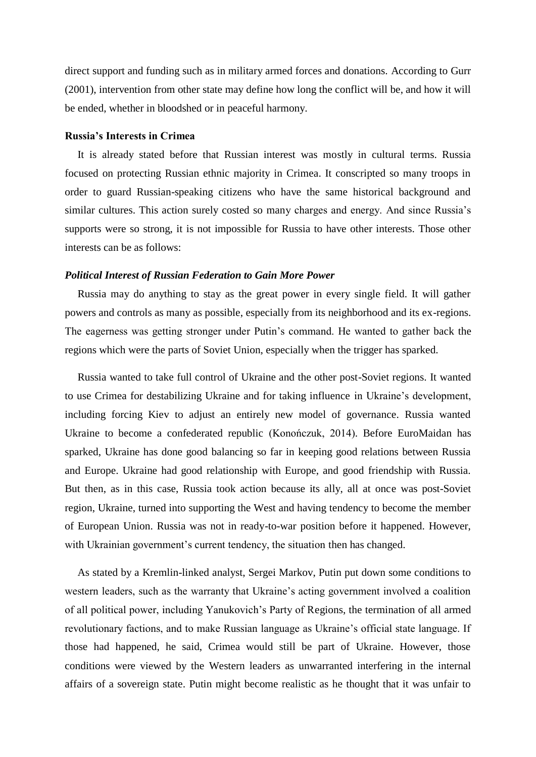direct support and funding such as in military armed forces and donations. According to Gurr (2001), intervention from other state may define how long the conflict will be, and how it will be ended, whether in bloodshed or in peaceful harmony.

### **Russia's Interests in Crimea**

It is already stated before that Russian interest was mostly in cultural terms. Russia focused on protecting Russian ethnic majority in Crimea. It conscripted so many troops in order to guard Russian-speaking citizens who have the same historical background and similar cultures. This action surely costed so many charges and energy. And since Russia's supports were so strong, it is not impossible for Russia to have other interests. Those other interests can be as follows:

### *Political Interest of Russian Federation to Gain More Power*

Russia may do anything to stay as the great power in every single field. It will gather powers and controls as many as possible, especially from its neighborhood and its ex-regions. The eagerness was getting stronger under Putin's command. He wanted to gather back the regions which were the parts of Soviet Union, especially when the trigger has sparked.

Russia wanted to take full control of Ukraine and the other post-Soviet regions. It wanted to use Crimea for destabilizing Ukraine and for taking influence in Ukraine's development, including forcing Kiev to adjust an entirely new model of governance. Russia wanted Ukraine to become a confederated republic (Konończuk, 2014). Before EuroMaidan has sparked, Ukraine has done good balancing so far in keeping good relations between Russia and Europe. Ukraine had good relationship with Europe, and good friendship with Russia. But then, as in this case, Russia took action because its ally, all at once was post-Soviet region, Ukraine, turned into supporting the West and having tendency to become the member of European Union. Russia was not in ready-to-war position before it happened. However, with Ukrainian government's current tendency, the situation then has changed.

As stated by a Kremlin-linked analyst, Sergei Markov, Putin put down some conditions to western leaders, such as the warranty that Ukraine's acting government involved a coalition of all political power, including Yanukovich's Party of Regions, the termination of all armed revolutionary factions, and to make Russian language as Ukraine's official state language. If those had happened, he said, Crimea would still be part of Ukraine. However, those conditions were viewed by the Western leaders as unwarranted interfering in the internal affairs of a sovereign state. Putin might become realistic as he thought that it was unfair to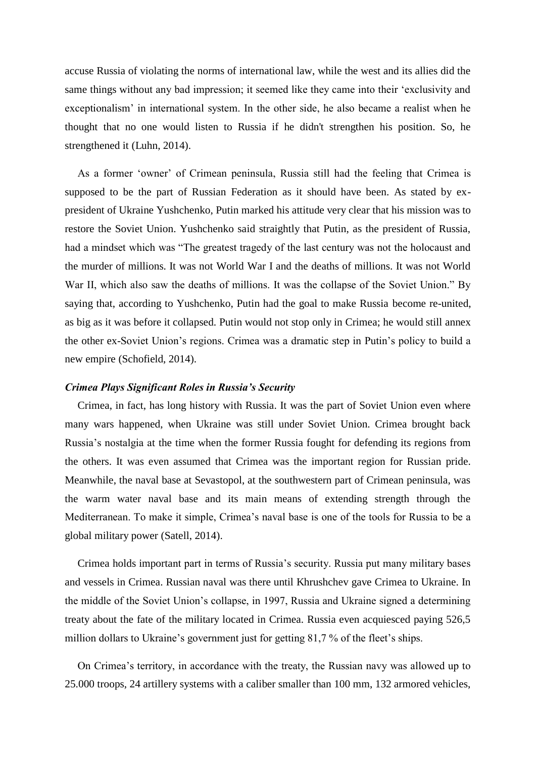accuse Russia of violating the norms of international law, while the west and its allies did the same things without any bad impression; it seemed like they came into their 'exclusivity and exceptionalism' in international system. In the other side, he also became a realist when he thought that no one would listen to Russia if he didn't strengthen his position. So, he strengthened it (Luhn, 2014).

As a former 'owner' of Crimean peninsula, Russia still had the feeling that Crimea is supposed to be the part of Russian Federation as it should have been. As stated by expresident of Ukraine Yushchenko, Putin marked his attitude very clear that his mission was to restore the Soviet Union. Yushchenko said straightly that Putin, as the president of Russia, had a mindset which was "The greatest tragedy of the last century was not the holocaust and the murder of millions. It was not World War I and the deaths of millions. It was not World War II, which also saw the deaths of millions. It was the collapse of the Soviet Union." By saying that, according to Yushchenko, Putin had the goal to make Russia become re-united, as big as it was before it collapsed. Putin would not stop only in Crimea; he would still annex the other ex-Soviet Union's regions. Crimea was a dramatic step in Putin's policy to build a new empire (Schofield, 2014).

# *Crimea Plays Significant Roles in Russia's Security*

Crimea, in fact, has long history with Russia. It was the part of Soviet Union even where many wars happened, when Ukraine was still under Soviet Union. Crimea brought back Russia's nostalgia at the time when the former Russia fought for defending its regions from the others. It was even assumed that Crimea was the important region for Russian pride. Meanwhile, the naval base at Sevastopol, at the southwestern part of Crimean peninsula, was the warm water naval base and its main means of extending strength through the Mediterranean. To make it simple, Crimea's naval base is one of the tools for Russia to be a global military power (Satell, 2014).

Crimea holds important part in terms of Russia's security. Russia put many military bases and vessels in Crimea. Russian naval was there until Khrushchev gave Crimea to Ukraine. In the middle of the Soviet Union's collapse, in 1997, Russia and Ukraine signed a determining treaty about the fate of the military located in Crimea. Russia even acquiesced paying 526,5 million dollars to Ukraine's government just for getting 81,7 % of the fleet's ships.

On Crimea's territory, in accordance with the treaty, the Russian navy was allowed up to 25.000 troops, 24 artillery systems with a caliber smaller than 100 mm, 132 armored vehicles,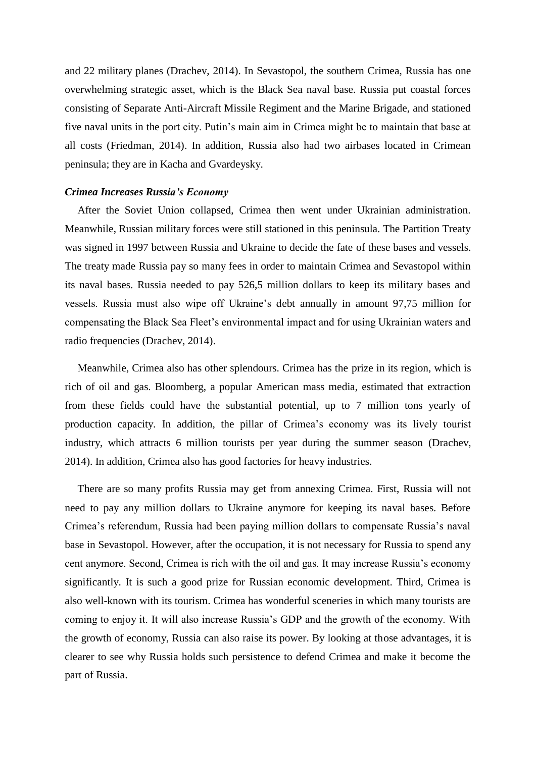and 22 military planes (Drachev, 2014). In Sevastopol, the southern Crimea, Russia has one overwhelming strategic asset, which is the Black Sea naval base. Russia put coastal forces consisting of Separate Anti-Aircraft Missile Regiment and the Marine Brigade, and stationed five naval units in the port city. Putin's main aim in Crimea might be to maintain that base at all costs (Friedman, 2014). In addition, Russia also had two airbases located in Crimean peninsula; they are in Kacha and Gvardeysky.

# *Crimea Increases Russia's Economy*

After the Soviet Union collapsed, Crimea then went under Ukrainian administration. Meanwhile, Russian military forces were still stationed in this peninsula. The Partition Treaty was signed in 1997 between Russia and Ukraine to decide the fate of these bases and vessels. The treaty made Russia pay so many fees in order to maintain Crimea and Sevastopol within its naval bases. Russia needed to pay 526,5 million dollars to keep its military bases and vessels. Russia must also wipe off Ukraine's debt annually in amount 97,75 million for compensating the Black Sea Fleet's environmental impact and for using Ukrainian waters and radio frequencies (Drachev, 2014).

Meanwhile, Crimea also has other splendours. Crimea has the prize in its region, which is rich of oil and gas. Bloomberg, a popular American mass media, estimated that extraction from these fields could have the substantial potential, up to 7 million tons yearly of production capacity. In addition, the pillar of Crimea's economy was its lively tourist industry, which attracts 6 million tourists per year during the summer season (Drachev, 2014). In addition, Crimea also has good factories for heavy industries.

There are so many profits Russia may get from annexing Crimea. First, Russia will not need to pay any million dollars to Ukraine anymore for keeping its naval bases. Before Crimea's referendum, Russia had been paying million dollars to compensate Russia's naval base in Sevastopol. However, after the occupation, it is not necessary for Russia to spend any cent anymore. Second, Crimea is rich with the oil and gas. It may increase Russia's economy significantly. It is such a good prize for Russian economic development. Third, Crimea is also well-known with its tourism. Crimea has wonderful sceneries in which many tourists are coming to enjoy it. It will also increase Russia's GDP and the growth of the economy. With the growth of economy, Russia can also raise its power. By looking at those advantages, it is clearer to see why Russia holds such persistence to defend Crimea and make it become the part of Russia.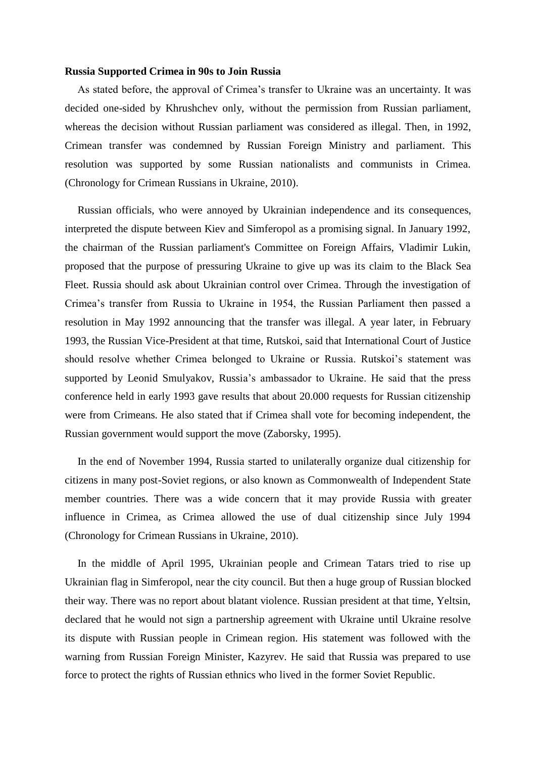### **Russia Supported Crimea in 90s to Join Russia**

As stated before, the approval of Crimea's transfer to Ukraine was an uncertainty. It was decided one-sided by Khrushchev only, without the permission from Russian parliament, whereas the decision without Russian parliament was considered as illegal. Then, in 1992, Crimean transfer was condemned by Russian Foreign Ministry and parliament. This resolution was supported by some Russian nationalists and communists in Crimea. (Chronology for Crimean Russians in Ukraine, 2010).

Russian officials, who were annoyed by Ukrainian independence and its consequences, interpreted the dispute between Kiev and Simferopol as a promising signal. In January 1992, the chairman of the Russian parliament's Committee on Foreign Affairs, Vladimir Lukin, proposed that the purpose of pressuring Ukraine to give up was its claim to the Black Sea Fleet. Russia should ask about Ukrainian control over Crimea. Through the investigation of Crimea's transfer from Russia to Ukraine in 1954, the Russian Parliament then passed a resolution in May 1992 announcing that the transfer was illegal. A year later, in February 1993, the Russian Vice-President at that time, Rutskoi, said that International Court of Justice should resolve whether Crimea belonged to Ukraine or Russia. Rutskoi's statement was supported by Leonid Smulyakov, Russia's ambassador to Ukraine. He said that the press conference held in early 1993 gave results that about 20.000 requests for Russian citizenship were from Crimeans. He also stated that if Crimea shall vote for becoming independent, the Russian government would support the move (Zaborsky, 1995).

In the end of November 1994, Russia started to unilaterally organize dual citizenship for citizens in many post-Soviet regions, or also known as Commonwealth of Independent State member countries. There was a wide concern that it may provide Russia with greater influence in Crimea, as Crimea allowed the use of dual citizenship since July 1994 (Chronology for Crimean Russians in Ukraine, 2010).

In the middle of April 1995, Ukrainian people and Crimean Tatars tried to rise up Ukrainian flag in Simferopol, near the city council. But then a huge group of Russian blocked their way. There was no report about blatant violence. Russian president at that time, Yeltsin, declared that he would not sign a partnership agreement with Ukraine until Ukraine resolve its dispute with Russian people in Crimean region. His statement was followed with the warning from Russian Foreign Minister, Kazyrev. He said that Russia was prepared to use force to protect the rights of Russian ethnics who lived in the former Soviet Republic.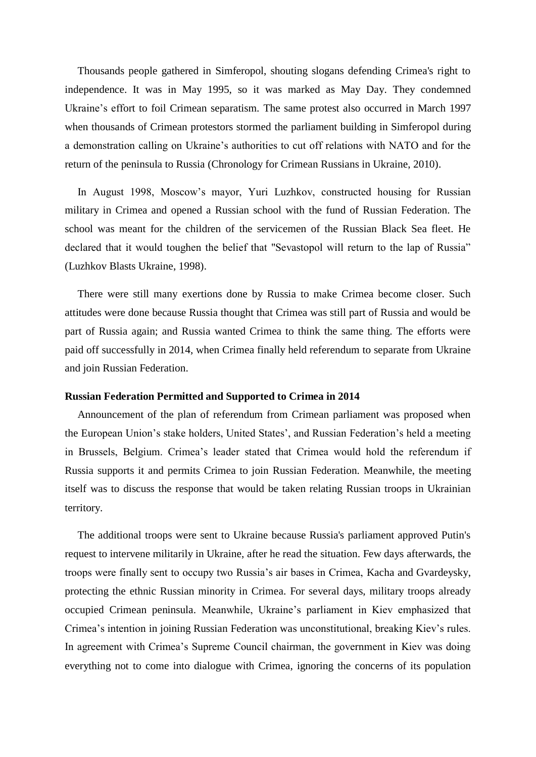Thousands people gathered in Simferopol, shouting slogans defending Crimea's right to independence. It was in May 1995, so it was marked as May Day. They condemned Ukraine's effort to foil Crimean separatism. The same protest also occurred in March 1997 when thousands of Crimean protestors stormed the parliament building in Simferopol during a demonstration calling on Ukraine's authorities to cut off relations with NATO and for the return of the peninsula to Russia (Chronology for Crimean Russians in Ukraine, 2010).

In August 1998, Moscow's mayor, Yuri Luzhkov, constructed housing for Russian military in Crimea and opened a Russian school with the fund of Russian Federation. The school was meant for the children of the servicemen of the Russian Black Sea fleet. He declared that it would toughen the belief that "Sevastopol will return to the lap of Russia" (Luzhkov Blasts Ukraine, 1998).

There were still many exertions done by Russia to make Crimea become closer. Such attitudes were done because Russia thought that Crimea was still part of Russia and would be part of Russia again; and Russia wanted Crimea to think the same thing. The efforts were paid off successfully in 2014, when Crimea finally held referendum to separate from Ukraine and join Russian Federation.

#### **Russian Federation Permitted and Supported to Crimea in 2014**

Announcement of the plan of referendum from Crimean parliament was proposed when the European Union's stake holders, United States', and Russian Federation's held a meeting in Brussels, Belgium. Crimea's leader stated that Crimea would hold the referendum if Russia supports it and permits Crimea to join Russian Federation. Meanwhile, the meeting itself was to discuss the response that would be taken relating Russian troops in Ukrainian territory.

The additional troops were sent to Ukraine because Russia's parliament approved Putin's request to intervene militarily in Ukraine, after he read the situation. Few days afterwards, the troops were finally sent to occupy two Russia's air bases in Crimea, Kacha and Gvardeysky, protecting the ethnic Russian minority in Crimea. For several days, military troops already occupied Crimean peninsula. Meanwhile, Ukraine's parliament in Kiev emphasized that Crimea's intention in joining Russian Federation was unconstitutional, breaking Kiev's rules. In agreement with Crimea's Supreme Council chairman, the government in Kiev was doing everything not to come into dialogue with Crimea, ignoring the concerns of its population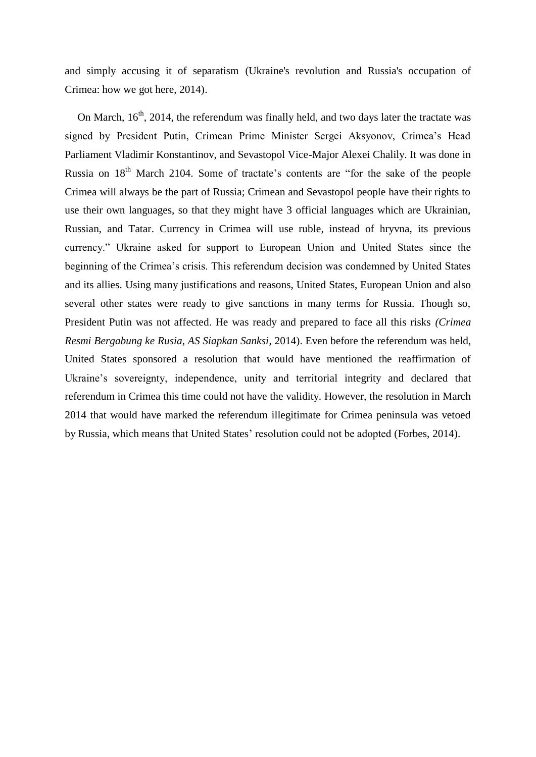and simply accusing it of separatism (Ukraine's revolution and Russia's occupation of Crimea: how we got here, 2014).

On March, 16<sup>th</sup>, 2014, the referendum was finally held, and two days later the tractate was signed by President Putin, Crimean Prime Minister Sergei Aksyonov, Crimea's Head Parliament Vladimir Konstantinov, and Sevastopol Vice-Major Alexei Chalily. It was done in Russia on  $18<sup>th</sup>$  March 2104. Some of tractate's contents are "for the sake of the people Crimea will always be the part of Russia; Crimean and Sevastopol people have their rights to use their own languages, so that they might have 3 official languages which are Ukrainian, Russian, and Tatar. Currency in Crimea will use ruble, instead of hryvna, its previous currency." Ukraine asked for support to European Union and United States since the beginning of the Crimea's crisis. This referendum decision was condemned by United States and its allies. Using many justifications and reasons, United States, European Union and also several other states were ready to give sanctions in many terms for Russia. Though so, President Putin was not affected. He was ready and prepared to face all this risks *(Crimea Resmi Bergabung ke Rusia, AS Siapkan Sanksi*, 2014). Even before the referendum was held, United States sponsored a resolution that would have mentioned the reaffirmation of Ukraine's sovereignty, independence, unity and territorial integrity and declared that referendum in Crimea this time could not have the validity. However, the resolution in March 2014 that would have marked the referendum illegitimate for Crimea peninsula was vetoed by Russia, which means that United States' resolution could not be adopted (Forbes, 2014).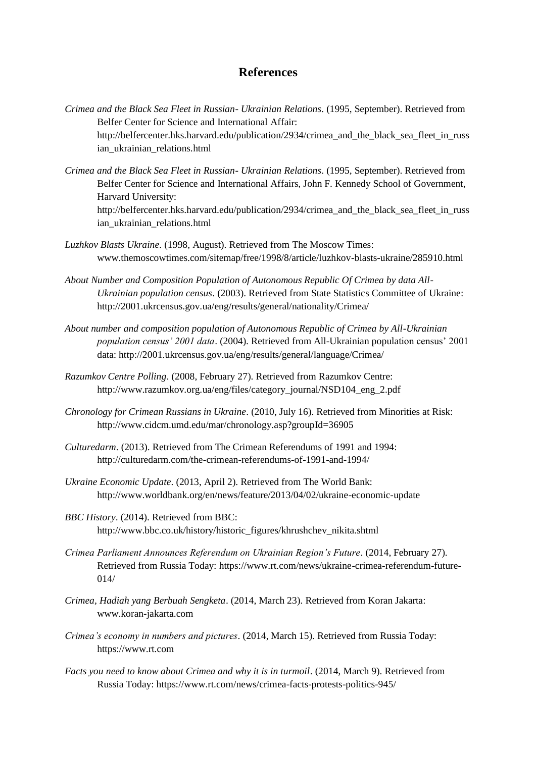# **References**

- *Crimea and the Black Sea Fleet in Russian- Ukrainian Relations*. (1995, September). Retrieved from Belfer Center for Science and International Affair: http://belfercenter.hks.harvard.edu/publication/2934/crimea and the black sea fleet in russ ian\_ukrainian\_relations.html
- *Crimea and the Black Sea Fleet in Russian- Ukrainian Relations*. (1995, September). Retrieved from Belfer Center for Science and International Affairs, John F. Kennedy School of Government, Harvard University: http://belfercenter.hks.harvard.edu/publication/2934/crimea\_and\_the\_black\_sea\_fleet\_in\_russ ian\_ukrainian\_relations.html
- *Luzhkov Blasts Ukraine*. (1998, August). Retrieved from The Moscow Times: www.themoscowtimes.com/sitemap/free/1998/8/article/luzhkov-blasts-ukraine/285910.html
- *About Number and Composition Population of Autonomous Republic Of Crimea by data All-Ukrainian population census*. (2003). Retrieved from State Statistics Committee of Ukraine: http://2001.ukrcensus.gov.ua/eng/results/general/nationality/Crimea/
- *About number and composition population of Autonomous Republic of Crimea by All-Ukrainian population census' 2001 data*. (2004). Retrieved from All-Ukrainian population census' 2001 data: http://2001.ukrcensus.gov.ua/eng/results/general/language/Crimea/
- *Razumkov Centre Polling*. (2008, February 27). Retrieved from Razumkov Centre: http://www.razumkov.org.ua/eng/files/category\_journal/NSD104\_eng\_2.pdf
- *Chronology for Crimean Russians in Ukraine*. (2010, July 16). Retrieved from Minorities at Risk: http://www.cidcm.umd.edu/mar/chronology.asp?groupId=36905
- *Culturedarm*. (2013). Retrieved from The Crimean Referendums of 1991 and 1994: http://culturedarm.com/the-crimean-referendums-of-1991-and-1994/
- *Ukraine Economic Update*. (2013, April 2). Retrieved from The World Bank: http://www.worldbank.org/en/news/feature/2013/04/02/ukraine-economic-update
- *BBC History*. (2014). Retrieved from BBC: http://www.bbc.co.uk/history/historic\_figures/khrushchev\_nikita.shtml
- *Crimea Parliament Announces Referendum on Ukrainian Region's Future*. (2014, February 27). Retrieved from Russia Today: https://www.rt.com/news/ukraine-crimea-referendum-future-014/
- *Crimea, Hadiah yang Berbuah Sengketa*. (2014, March 23). Retrieved from Koran Jakarta: www.koran-jakarta.com
- *Crimea's economy in numbers and pictures*. (2014, March 15). Retrieved from Russia Today: https://www.rt.com
- *Facts you need to know about Crimea and why it is in turmoil*. (2014, March 9). Retrieved from Russia Today: https://www.rt.com/news/crimea-facts-protests-politics-945/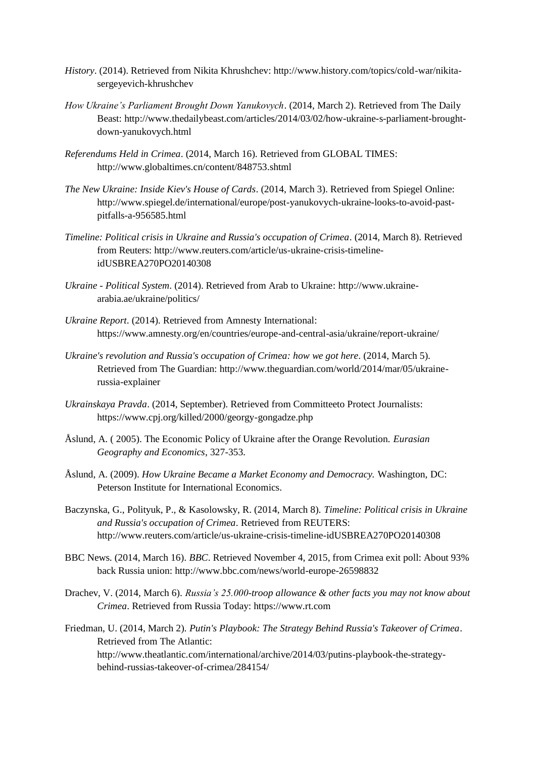- *History*. (2014). Retrieved from Nikita Khrushchev: http://www.history.com/topics/cold-war/nikitasergeyevich-khrushchev
- *How Ukraine's Parliament Brought Down Yanukovych*. (2014, March 2). Retrieved from The Daily Beast: http://www.thedailybeast.com/articles/2014/03/02/how-ukraine-s-parliament-broughtdown-yanukovych.html
- *Referendums Held in Crimea*. (2014, March 16). Retrieved from GLOBAL TIMES: http://www.globaltimes.cn/content/848753.shtml
- *The New Ukraine: Inside Kiev's House of Cards*. (2014, March 3). Retrieved from Spiegel Online: http://www.spiegel.de/international/europe/post-yanukovych-ukraine-looks-to-avoid-pastpitfalls-a-956585.html
- *Timeline: Political crisis in Ukraine and Russia's occupation of Crimea*. (2014, March 8). Retrieved from Reuters: http://www.reuters.com/article/us-ukraine-crisis-timelineidUSBREA270PO20140308
- *Ukraine - Political System*. (2014). Retrieved from Arab to Ukraine: http://www.ukrainearabia.ae/ukraine/politics/
- *Ukraine Report*. (2014). Retrieved from Amnesty International: https://www.amnesty.org/en/countries/europe-and-central-asia/ukraine/report-ukraine/
- *Ukraine's revolution and Russia's occupation of Crimea: how we got here*. (2014, March 5). Retrieved from The Guardian: http://www.theguardian.com/world/2014/mar/05/ukrainerussia-explainer
- *Ukrainskaya Pravda*. (2014, September). Retrieved from Committeeto Protect Journalists: https://www.cpj.org/killed/2000/georgy-gongadze.php
- Åslund, A. ( 2005). The Economic Policy of Ukraine after the Orange Revolution. *Eurasian Geography and Economics*, 327-353.
- Åslund, A. (2009). *How Ukraine Became a Market Economy and Democracy.* Washington, DC: Peterson Institute for International Economics.
- Baczynska, G., Polityuk, P., & Kasolowsky, R. (2014, March 8). *Timeline: Political crisis in Ukraine and Russia's occupation of Crimea*. Retrieved from REUTERS: http://www.reuters.com/article/us-ukraine-crisis-timeline-idUSBREA270PO20140308
- BBC News. (2014, March 16). *BBC*. Retrieved November 4, 2015, from Crimea exit poll: About 93% back Russia union: http://www.bbc.com/news/world-europe-26598832
- Drachev, V. (2014, March 6). *Russia's 25.000-troop allowance & other facts you may not know about Crimea*. Retrieved from Russia Today: https://www.rt.com
- Friedman, U. (2014, March 2). *Putin's Playbook: The Strategy Behind Russia's Takeover of Crimea*. Retrieved from The Atlantic: http://www.theatlantic.com/international/archive/2014/03/putins-playbook-the-strategybehind-russias-takeover-of-crimea/284154/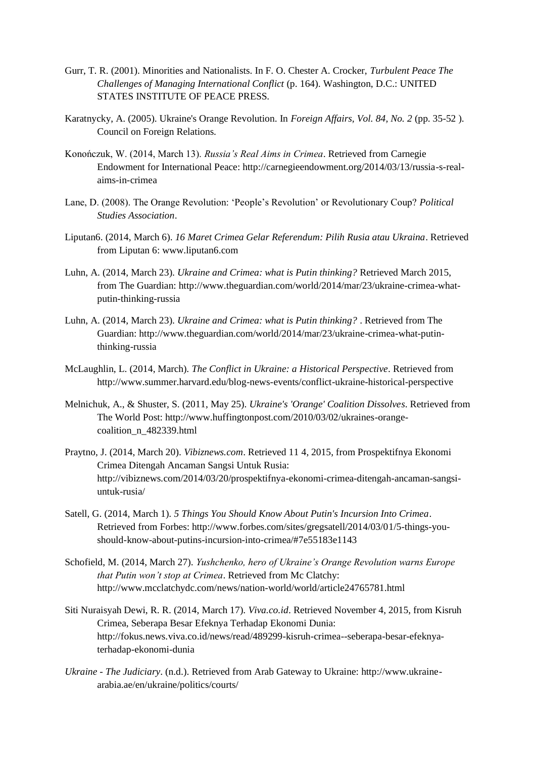- Gurr, T. R. (2001). Minorities and Nationalists. In F. O. Chester A. Crocker, *Turbulent Peace The Challenges of Managing International Conflict* (p. 164). Washington, D.C.: UNITED STATES INSTITUTE OF PEACE PRESS.
- Karatnycky, A. (2005). Ukraine's Orange Revolution. In *Foreign Affairs, Vol. 84, No. 2* (pp. 35-52 ). Council on Foreign Relations.
- Konończuk, W. (2014, March 13). *Russia's Real Aims in Crimea*. Retrieved from Carnegie Endowment for International Peace: http://carnegieendowment.org/2014/03/13/russia-s-realaims-in-crimea
- Lane, D. (2008). The Orange Revolution: 'People's Revolution' or Revolutionary Coup? *Political Studies Association*.
- Liputan6. (2014, March 6). *16 Maret Crimea Gelar Referendum: Pilih Rusia atau Ukraina*. Retrieved from Liputan 6: www.liputan6.com
- Luhn, A. (2014, March 23). *Ukraine and Crimea: what is Putin thinking?* Retrieved March 2015, from The Guardian: http://www.theguardian.com/world/2014/mar/23/ukraine-crimea-whatputin-thinking-russia
- Luhn, A. (2014, March 23). *Ukraine and Crimea: what is Putin thinking?* . Retrieved from The Guardian: http://www.theguardian.com/world/2014/mar/23/ukraine-crimea-what-putinthinking-russia
- McLaughlin, L. (2014, March). *The Conflict in Ukraine: a Historical Perspective*. Retrieved from http://www.summer.harvard.edu/blog-news-events/conflict-ukraine-historical-perspective
- Melnichuk, A., & Shuster, S. (2011, May 25). *Ukraine's 'Orange' Coalition Dissolves*. Retrieved from The World Post: http://www.huffingtonpost.com/2010/03/02/ukraines-orangecoalition\_n\_482339.html
- Praytno, J. (2014, March 20). *Vibiznews.com*. Retrieved 11 4, 2015, from Prospektifnya Ekonomi Crimea Ditengah Ancaman Sangsi Untuk Rusia: http://vibiznews.com/2014/03/20/prospektifnya-ekonomi-crimea-ditengah-ancaman-sangsiuntuk-rusia/
- Satell, G. (2014, March 1). *5 Things You Should Know About Putin's Incursion Into Crimea*. Retrieved from Forbes: http://www.forbes.com/sites/gregsatell/2014/03/01/5-things-youshould-know-about-putins-incursion-into-crimea/#7e55183e1143
- Schofield, M. (2014, March 27). *Yushchenko, hero of Ukraine's Orange Revolution warns Europe that Putin won't stop at Crimea*. Retrieved from Mc Clatchy: http://www.mcclatchydc.com/news/nation-world/world/article24765781.html
- Siti Nuraisyah Dewi, R. R. (2014, March 17). *Viva.co.id*. Retrieved November 4, 2015, from Kisruh Crimea, Seberapa Besar Efeknya Terhadap Ekonomi Dunia: http://fokus.news.viva.co.id/news/read/489299-kisruh-crimea--seberapa-besar-efeknyaterhadap-ekonomi-dunia
- *Ukraine - The Judiciary*. (n.d.). Retrieved from Arab Gateway to Ukraine: http://www.ukrainearabia.ae/en/ukraine/politics/courts/